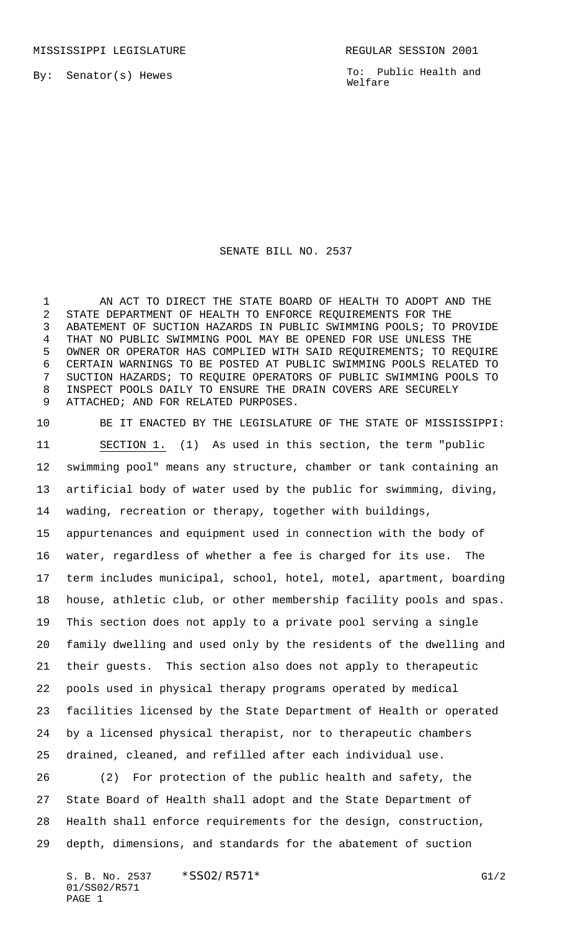By: Senator(s) Hewes

To: Public Health and Welfare

## SENATE BILL NO. 2537

 AN ACT TO DIRECT THE STATE BOARD OF HEALTH TO ADOPT AND THE STATE DEPARTMENT OF HEALTH TO ENFORCE REQUIREMENTS FOR THE ABATEMENT OF SUCTION HAZARDS IN PUBLIC SWIMMING POOLS; TO PROVIDE THAT NO PUBLIC SWIMMING POOL MAY BE OPENED FOR USE UNLESS THE OWNER OR OPERATOR HAS COMPLIED WITH SAID REQUIREMENTS; TO REQUIRE CERTAIN WARNINGS TO BE POSTED AT PUBLIC SWIMMING POOLS RELATED TO SUCTION HAZARDS; TO REQUIRE OPERATORS OF PUBLIC SWIMMING POOLS TO INSPECT POOLS DAILY TO ENSURE THE DRAIN COVERS ARE SECURELY ATTACHED; AND FOR RELATED PURPOSES.

 BE IT ENACTED BY THE LEGISLATURE OF THE STATE OF MISSISSIPPI: SECTION 1. (1) As used in this section, the term "public swimming pool" means any structure, chamber or tank containing an artificial body of water used by the public for swimming, diving, wading, recreation or therapy, together with buildings, appurtenances and equipment used in connection with the body of water, regardless of whether a fee is charged for its use. The term includes municipal, school, hotel, motel, apartment, boarding house, athletic club, or other membership facility pools and spas. This section does not apply to a private pool serving a single family dwelling and used only by the residents of the dwelling and their guests. This section also does not apply to therapeutic pools used in physical therapy programs operated by medical facilities licensed by the State Department of Health or operated by a licensed physical therapist, nor to therapeutic chambers drained, cleaned, and refilled after each individual use.

 (2) For protection of the public health and safety, the State Board of Health shall adopt and the State Department of Health shall enforce requirements for the design, construction, depth, dimensions, and standards for the abatement of suction